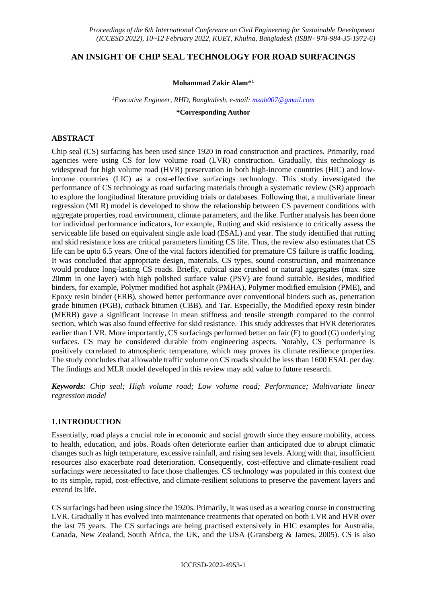# **AN INSIGHT OF CHIP SEAL TECHNOLOGY FOR ROAD SURFACINGS**

**Mohammad Zakir Alam\* 1**

*<sup>1</sup>Executive Engineer, RHD, Bangladesh, e-mail: [mzab007@gmail.com](mailto:mzab007@gmail.com)*

**\*Corresponding Author**

# **ABSTRACT**

Chip seal (CS) surfacing has been used since 1920 in road construction and practices. Primarily, road agencies were using CS for low volume road (LVR) construction. Gradually, this technology is widespread for high volume road (HVR) preservation in both high-income countries (HIC) and lowincome countries (LIC) as a cost-effective surfacings technology. This study investigated the performance of CS technology as road surfacing materials through a systematic review (SR) approach to explore the longitudinal literature providing trials or databases. Following that, a multivariate linear regression (MLR) model is developed to show the relationship between CS pavement conditions with aggregate properties, road environment, climate parameters, and the like. Further analysis has been done for individual performance indicators, for example, Rutting and skid resistance to critically assess the serviceable life based on equivalent single axle load (ESAL) and year. The study identified that rutting and skid resistance loss are critical parameters limiting CS life. Thus, the review also estimates that CS life can be upto 6.5 years. One of the vital factors identified for premature CS failure is traffic loading. It was concluded that appropriate design, materials, CS types, sound construction, and maintenance would produce long-lasting CS roads. Briefly, cubical size crushed or natural aggregates (max. size 20mm in one layer) with high polished surface value (PSV) are found suitable. Besides, modified binders, for example, Polymer modified hot asphalt (PMHA), Polymer modified emulsion (PME), and Epoxy resin binder (ERB), showed better performance over conventional binders such as, penetration grade bitumen (PGB), cutback bitumen (CBB), and Tar. Especially, the Modified epoxy resin binder (MERB) gave a significant increase in mean stiffness and tensile strength compared to the control section, which was also found effective for skid resistance. This study addresses that HVR deteriorates earlier than LVR. More importantly, CS surfacings performed better on fair (F) to good (G) underlying surfaces. CS may be considered durable from engineering aspects. Notably, CS performance is positively correlated to atmospheric temperature, which may proves its climate resilience properties. The study concludes that allowable traffic volume on CS roads should be less than 1600 ESAL per day. The findings and MLR model developed in this review may add value to future research.

*Keywords: Chip seal; High volume road; Low volume road; Performance; Multivariate linear regression model*

# **1.INTRODUCTION**

Essentially, road plays a crucial role in economic and social growth since they ensure mobility, access to health, education, and jobs. Roads often deteriorate earlier than anticipated due to abrupt climatic changes such as high temperature, excessive rainfall, and rising sea levels. Along with that, insufficient resources also exacerbate road deterioration. Consequently, cost-effective and climate-resilient road surfacings were necessitated to face those challenges. CS technology was populated in this context due to its simple, rapid, cost-effective, and climate-resilient solutions to preserve the pavement layers and extend its life.

CS surfacings had been using since the 1920s. Primarily, it was used as a wearing course in constructing LVR. Gradually it has evolved into maintenance treatments that operated on both LVR and HVR over the last 75 years. The CS surfacings are being practised extensively in HIC examples for Australia, Canada, New Zealand, South Africa, the UK, and the USA (Gransberg & James, 2005). CS is also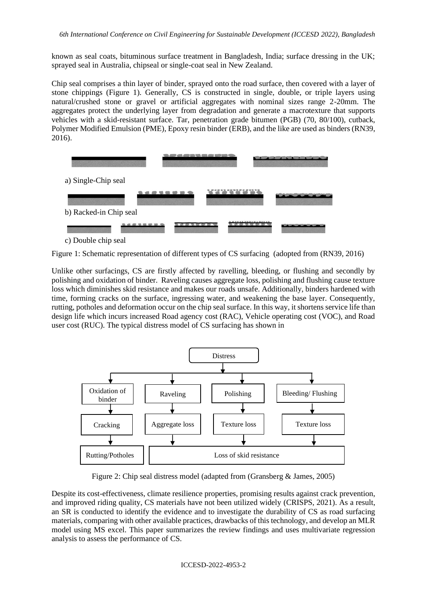known as seal coats, bituminous surface treatment in Bangladesh, India; surface dressing in the UK; sprayed seal in Australia, chipseal or single-coat seal in New Zealand.

Chip seal comprises a thin layer of binder, sprayed onto the road surface, then covered with a layer of stone chippings [\(Figure 1\)](#page-1-0). Generally, CS is constructed in single, double, or triple layers using natural/crushed stone or gravel or artificial aggregates with nominal sizes range 2-20mm. The aggregates protect the underlying layer from degradation and generate a macrotexture that supports vehicles with a skid-resistant surface. Tar, penetration grade bitumen (PGB) (70, 80/100), cutback, Polymer Modified Emulsion (PME), Epoxy resin binder (ERB), and the like are used as binders (RN39, 2016).



c) Double chip seal

<span id="page-1-0"></span>Figure 1: Schematic representation of different types of CS surfacing (adopted from (RN39, 2016)

Unlike other surfacings, CS are firstly affected by ravelling, bleeding, or flushing and secondly by polishing and oxidation of binder. Raveling causes aggregate loss, polishing and flushing cause texture loss which diminishes skid resistance and makes our roads unsafe. Additionally, binders hardened with time, forming cracks on the surface, ingressing water, and weakening the base layer. Consequently, rutting, potholes and deformation occur on the chip seal surface. In this way, it shortens service life than design life which incurs increased Road agency cost (RAC), Vehicle operating cost (VOC), and Road user cost (RUC). The typical distress model of CS surfacing has shown in



Figure 2: Chip seal distress model (adapted from (Gransberg & James, 2005)

Despite its cost-effectiveness, climate resilience properties, promising results against crack prevention, and improved riding quality, CS materials have not been utilized widely (CRISPS, 2021). As a result, an SR is conducted to identify the evidence and to investigate the durability of CS as road surfacing materials, comparing with other available practices, drawbacks of this technology, and develop an MLR model using MS excel. This paper summarizes the review findings and uses multivariate regression analysis to assess the performance of CS.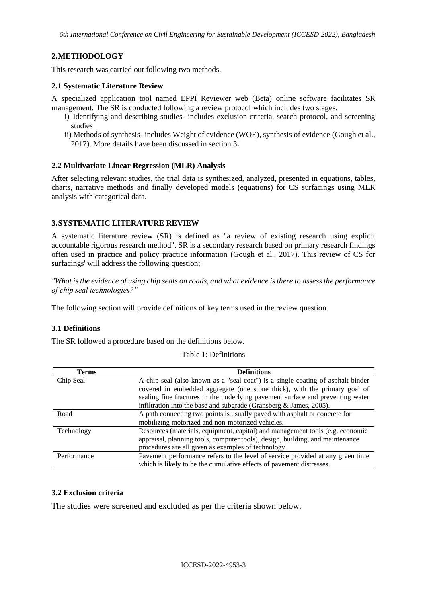# **2.METHODOLOGY**

This research was carried out following two methods.

# **2.1 Systematic Literature Review**

A specialized application tool named EPPI Reviewer web (Beta) online software facilitates SR management. The SR is conducted following a review protocol which includes two stages.

- i) Identifying and describing studies- includes exclusion criteria, search protocol, and screening studies
- ii) Methods of synthesis- includes Weight of evidence (WOE), synthesis of evidence (Gough et al., 2017). More details have been discussed in section 3**.**

#### **2.2 Multivariate Linear Regression (MLR) Analysis**

After selecting relevant studies, the trial data is synthesized, analyzed, presented in equations, tables, charts, narrative methods and finally developed models (equations) for CS surfacings using MLR analysis with categorical data.

# **3.SYSTEMATIC LITERATURE REVIEW**

A systematic literature review (SR) is defined as "a review of existing research using explicit accountable rigorous research method". SR is a secondary research based on primary research findings often used in practice and policy practice information (Gough et al., 2017). This review of CS for surfacings' will address the following question;

*"What is the evidence of using chip seals on roads, and what evidence is there to assess the performance of chip seal technologies?"*

The following section will provide definitions of key terms used in the review question.

# **3.1 Definitions**

The SR followed a procedure based on the definitions below.

| <b>Terms</b> | <b>Definitions</b>                                                              |
|--------------|---------------------------------------------------------------------------------|
| Chip Seal    | A chip seal (also known as a "seal coat") is a single coating of asphalt binder |
|              | covered in embedded aggregate (one stone thick), with the primary goal of       |
|              | sealing fine fractures in the underlying pavement surface and preventing water  |
|              | infiltration into the base and subgrade (Gransberg $\&$ James, 2005).           |
| Road         | A path connecting two points is usually paved with asphalt or concrete for      |
|              | mobilizing motorized and non-motorized vehicles.                                |
| Technology   | Resources (materials, equipment, capital) and management tools (e.g. economic   |
|              | appraisal, planning tools, computer tools), design, building, and maintenance   |
|              | procedures are all given as examples of technology.                             |
| Performance  | Pavement performance refers to the level of service provided at any given time  |
|              | which is likely to be the cumulative effects of payement distresses.            |

Table 1: Definitions

#### **3.2 Exclusion criteria**

The studies were screened and excluded as per the criteria shown below.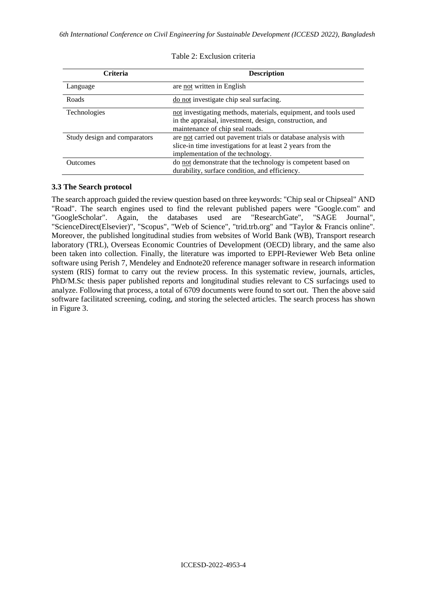| <b>Criteria</b>              | <b>Description</b>                                                                                                                                               |  |  |  |
|------------------------------|------------------------------------------------------------------------------------------------------------------------------------------------------------------|--|--|--|
| Language                     | are not written in English                                                                                                                                       |  |  |  |
| Roads                        | do not investigate chip seal surfacing.                                                                                                                          |  |  |  |
| Technologies                 | not investigating methods, materials, equipment, and tools used<br>in the appraisal, investment, design, construction, and<br>maintenance of chip seal roads.    |  |  |  |
| Study design and comparators | are not carried out pavement trials or database analysis with<br>slice-in time investigations for at least 2 years from the<br>implementation of the technology. |  |  |  |
| <b>Outcomes</b>              | do not demonstrate that the technology is competent based on<br>durability, surface condition, and efficiency.                                                   |  |  |  |

Table 2: Exclusion criteria

#### **3.3 The Search protocol**

The search approach guided the review question based on three keywords: "Chip seal or Chipseal" AND "Road". The search engines used to find the relevant published papers were "Google.com" and "GoogleScholar". Again, the databases used are "ResearchGate", "SAGE Journal", "ScienceDirect(Elsevier)", "Scopus", "Web of Science", "trid.trb.org" and "Taylor & Francis online". Moreover, the published longitudinal studies from websites of World Bank (WB), Transport research laboratory (TRL), Overseas Economic Countries of Development (OECD) library, and the same also been taken into collection. Finally, the literature was imported to EPPI-Reviewer Web Beta online software using Perish 7, Mendeley and Endnote20 reference manager software in research information system (RIS) format to carry out the review process. In this systematic review, journals, articles, PhD/M.Sc thesis paper published reports and longitudinal studies relevant to CS surfacings used to analyze. Following that process, a total of 6709 documents were found to sort out. Then the above said software facilitated screening, coding, and storing the selected articles. The search process has shown in [Figure 3.](#page-4-0)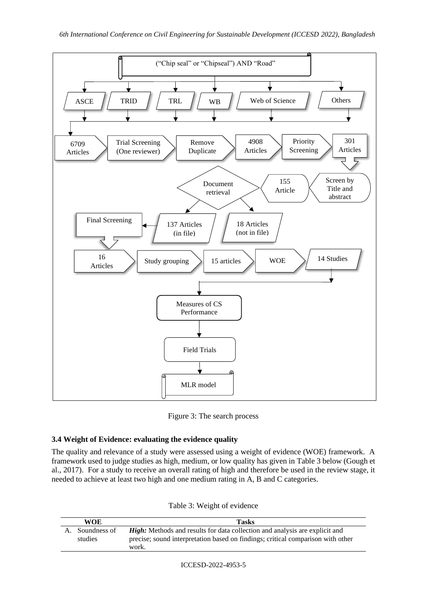

Figure 3: The search process

# <span id="page-4-0"></span>**3.4 Weight of Evidence: evaluating the evidence quality**

The quality and relevance of a study were assessed using a weight of evidence (WOE) framework. A framework used to judge studies as high, medium, or low quality has given in [Table 3](#page-4-1) below (Gough et al., 2017). For a study to receive an overall rating of high and therefore be used in the review stage, it needed to achieve at least two high and one medium rating in A, B and C categories.

| Table 3: Weight of evidence |
|-----------------------------|
|-----------------------------|

<span id="page-4-1"></span>

| WOE          | <b>Tasks</b>                                                                             |
|--------------|------------------------------------------------------------------------------------------|
| Soundness of | <b>High:</b> Methods and results for data collection and analysis are explicit and       |
| studies      | precise; sound interpretation based on findings; critical comparison with other<br>work. |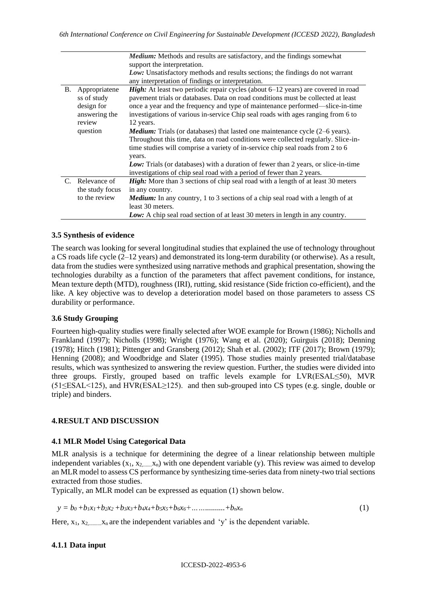|           |                 | <i>Medium:</i> Methods and results are satisfactory, and the findings somewhat          |  |  |  |  |  |  |
|-----------|-----------------|-----------------------------------------------------------------------------------------|--|--|--|--|--|--|
|           |                 | support the interpretation.                                                             |  |  |  |  |  |  |
|           |                 | Low: Unsatisfactory methods and results sections; the findings do not warrant           |  |  |  |  |  |  |
|           |                 | any interpretation of findings or interpretation.                                       |  |  |  |  |  |  |
| <b>B.</b> | Appropriatene   | <b>High:</b> At least two periodic repair cycles (about 6–12 years) are covered in road |  |  |  |  |  |  |
|           | ss of study     | pavement trials or databases. Data on road conditions must be collected at least        |  |  |  |  |  |  |
|           | design for      | once a year and the frequency and type of maintenance performed—slice-in-time           |  |  |  |  |  |  |
|           | answering the   | investigations of various in-service Chip seal roads with ages ranging from 6 to        |  |  |  |  |  |  |
|           | review          | 12 years.                                                                               |  |  |  |  |  |  |
|           | question        | <b>Medium:</b> Trials (or databases) that lasted one maintenance cycle $(2-6$ years).   |  |  |  |  |  |  |
|           |                 | Throughout this time, data on road conditions were collected regularly. Slice-in-       |  |  |  |  |  |  |
|           |                 | time studies will comprise a variety of in-service chip seal roads from 2 to 6          |  |  |  |  |  |  |
|           |                 | years.                                                                                  |  |  |  |  |  |  |
|           |                 | Low: Trials (or databases) with a duration of fewer than 2 years, or slice-in-time      |  |  |  |  |  |  |
|           |                 | investigations of chip seal road with a period of fewer than 2 years.                   |  |  |  |  |  |  |
|           | C. Relevance of | <b>High:</b> More than 3 sections of chip seal road with a length of at least 30 meters |  |  |  |  |  |  |
|           | the study focus | in any country.                                                                         |  |  |  |  |  |  |
|           | to the review   | <b>Medium:</b> In any country, 1 to 3 sections of a chip seal road with a length of at  |  |  |  |  |  |  |
|           |                 | least 30 meters.                                                                        |  |  |  |  |  |  |
|           |                 | Low: A chip seal road section of at least 30 meters in length in any country.           |  |  |  |  |  |  |

#### **3.5 Synthesis of evidence**

The search was looking for several longitudinal studies that explained the use of technology throughout a CS roads life cycle (2–12 years) and demonstrated its long-term durability (or otherwise). As a result, data from the studies were synthesized using narrative methods and graphical presentation, showing the technologies durabilty as a function of the parameters that affect pavement conditions, for instance, Mean texture depth (MTD), roughness (IRI), rutting, skid resistance (Side friction co-efficient), and the like. A key objective was to develop a deterioration model based on those parameters to assess CS durability or performance.

# **3.6 Study Grouping**

Fourteen high-quality studies were finally selected after WOE example for Brown (1986); Nicholls and Frankland (1997); Nicholls (1998); Wright (1976); Wang et al. (2020); Guirguis (2018); Denning (1978); Hitch (1981); Pittenger and Gransberg (2012); Shah et al. (2002); ITF (2017); Brown (1979); Henning (2008); and Woodbridge and Slater (1995). Those studies mainly presented trial/database results, which was synthesized to answering the review question. Further, the studies were divided into three groups. Firstly, grouped based on traffic levels example for LVR(ESAL≤50), MVR (51≤ESAL<125), and HVR(ESAL≥125). and then sub-grouped into CS types (e.g. single, double or triple) and binders.

# **4.RESULT AND DISCUSSION**

# **4.1 MLR Model Using Categorical Data**

MLR analysis is a technique for determining the degree of a linear relationship between multiple independent variables  $(x_1, x_2, \ldots, x_n)$  with one dependent variable (y). This review was aimed to develop an MLR model to assess CS performance by synthesizing time-series data from ninety-two trial sections extracted from those studies.

Typically, an MLR model can be expressed as equation (1) shown below.

$$
y = b_0 + b_1x_1 + b_2x_2 + b_3x_3 + b_4x_4 + b_5x_5 + b_6x_6 + \dots + b_nx_n
$$
 (1)

Here,  $x_1, x_2, \ldots, x_n$  are the independent variables and 'y' is the dependent variable.

# **4.1.1 Data input**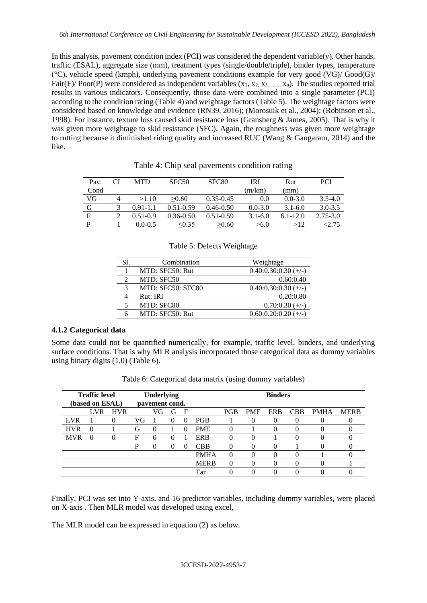In this analysis, pavement condition index (PCI) was considered the dependent variable(y). Other hands, traffic (ESAL), aggregate size (mm), treatment types (single/double/triple), binder types, temperature ( $^{\circ}$ C), vehicle speed (kmph), underlying pavement conditions example for very good (VG)/  $Good(G)$ / Fair(F)/ Poor(P) were considered as independent variables  $(x_1, x_2, x_3, \ldots, x_n)$ . The studies reported trial results in various indicators. Consequently, those data were combined into a single parameter (PCI) according to the condition rating [\(Table 4\)](#page-6-0) and weightage factors [\(Table 5\)](#page-6-1). The weightage factors were considered based on knowledge and evidence (RN39, 2016); (Morosuik et al., 2004); (Robinson et al., 1998). For instance, texture loss caused skid resistance loss (Gransberg & James, 2005). That is why it was given more weightage to skid resistance (SFC). Again, the roughness was given more weightage to rutting because it diminished riding quality and increased RUC (Wang & Gangaram, 2014) and the like.

<span id="page-6-0"></span>

| Pav. |   | <b>MTD</b>   | SFC <sub>50</sub> | SFC <sub>80</sub> | <b>IRI</b>  | Rut          | <b>PCI</b>   |
|------|---|--------------|-------------------|-------------------|-------------|--------------|--------------|
| Cond |   |              |                   |                   | (m/km)      | (mm)         |              |
| VG   | 4 | >1.10        | >0.60             | $0.35 - 0.45$     | 0.0         | $0.0 - 3.0$  | $3.5 - 4.0$  |
| G    |   | $0.91 - 1.1$ | $0.51 - 0.59$     | $0.46 - 0.50$     | $0.0 - 3.0$ | $3.1 - 6.0$  | $3.0 - 3.5$  |
| F    |   | $0.51 - 0.9$ | $0.36 - 0.50$     | $0.51 - 0.59$     | $3.1 - 6.0$ | $6.1 - 12.0$ | $2.75 - 3.0$ |
| D    |   | $0.0 - 0.5$  | $\leq 0.35$       | >0.60             | >6.0        | >12          | 2.75         |

Table 4: Chip seal pavements condition rating

<span id="page-6-1"></span>

| S1. | Combination       | Weightage              |
|-----|-------------------|------------------------|
|     | MTD: SFC50: Rut   | $0.40:0.30:0.30 (+/-)$ |
|     | MTD: SFC50        | 0.60:0.40              |
| 3   | MTD: SFC50: SFC80 | $0.40:0.30:0.30 (+/-)$ |
|     | Rut: IRI          | 0.20:0.80              |
|     | MTD: SFC80        | $0.70:0.30 (+/-)$      |
|     | MTD: SFC50: Rut   | $0.60:0.20:0.20 (+/-)$ |

# **4.1.2 Categorical data**

Some data could not be quantified numerically, for example, traffic level, binders, and underlying surface conditions. That is why MLR analysis incorporated those categorical data as dummy variables using binary digits (1,0) [\(Table 6\)](#page-6-2).

<span id="page-6-2"></span>

| <b>Traffic level</b><br>(based on ESAL) |                   |            | Underlying<br>pavement cond. |          |   | <b>Binders</b> |             |            |            |            |            |             |             |
|-----------------------------------------|-------------------|------------|------------------------------|----------|---|----------------|-------------|------------|------------|------------|------------|-------------|-------------|
|                                         | <b>LVR</b>        | <b>HVR</b> |                              | VG       | G | F              |             | <b>PGB</b> | <b>PME</b> | <b>ERB</b> | <b>CBB</b> | <b>PMHA</b> | <b>MERB</b> |
| LVR.                                    |                   |            | VG                           |          |   | $\theta$       | <b>PGB</b>  |            |            | $_{0}$     |            | 0           |             |
| <b>HVR</b>                              | 0                 |            | G                            | $\theta$ |   | $\theta$       | <b>PME</b>  |            |            | 0          | 0          | 0           |             |
| <b>MVR</b>                              | $\mathbf{\Omega}$ |            | F                            |          |   |                | <b>ERB</b>  |            |            |            |            |             |             |
|                                         |                   |            | P                            |          |   |                | <b>CBB</b>  |            |            | $_{0}$     |            | 0           |             |
|                                         |                   |            |                              |          |   |                | <b>PMHA</b> | $\theta$   |            | 0          |            |             |             |
|                                         |                   |            |                              |          |   |                | <b>MERB</b> | 0          |            | 0          |            |             |             |
|                                         |                   |            |                              |          |   |                | Tar         |            |            |            |            |             |             |

Table 6: Categorical data matrix (using dummy variables)

Finally, PCI was set into Y-axis, and 16 predictor variables, including dummy variables, were placed on X-axis . Then MLR model was developed using excel,

The MLR model can be expressed in equation (2) as below.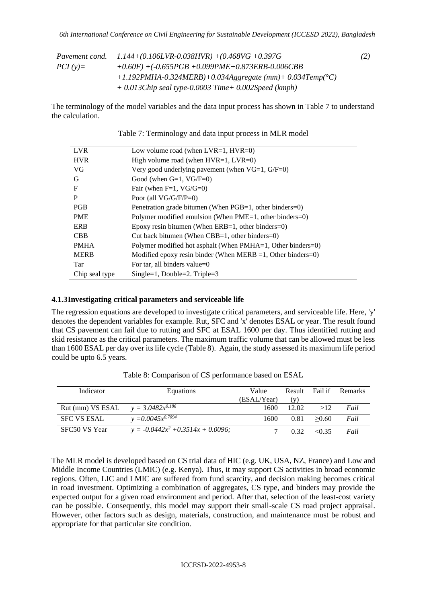|            | Pavement cond. $1.144+(0.106LVR-0.038HVR)+(0.468VG+0.397G)$ | (2) |
|------------|-------------------------------------------------------------|-----|
| $PCI(v)$ = | $+0.60F$ +(-0.655PGB +0.099PME+0.873ERB-0.006CBB            |     |
|            | $+1.192$ PMHA-0.324MERB)+0.034Aggregate (mm)+ 0.034Temp(°C) |     |
|            | $+$ 0.013Chip seal type-0.0003 Time $+$ 0.002Speed (kmph)   |     |

<span id="page-7-0"></span>The terminology of the model variables and the data input process has shown in [Table 7](#page-7-0) to understand the calculation.

| <b>LVR</b>     | Low volume road (when $LVR=1$ , $HVR=0$ )                      |
|----------------|----------------------------------------------------------------|
| <b>HVR</b>     | High volume road (when $HVR=1$ , $LVR=0$ )                     |
| VG             | Very good underlying pavement (when $VG=1$ , $G/F=0$ )         |
| G              | Good (when $G=1$ , $VG/F=0$ )                                  |
| $\mathbf F$    | Fair (when $F=1$ , VG/G=0)                                     |
| P              | Poor (all $VG/G/F/P=0$ )                                       |
| <b>PGB</b>     | Penetration grade bitumen (When PGB=1, other binders=0)        |
| <b>PME</b>     | Polymer modified emulsion (When PME=1, other binders=0)        |
| <b>ERB</b>     | Epoxy resin bitumen (When ERB=1, other binders=0)              |
| <b>CBB</b>     | Cut back bitumen (When CBB=1, other binders=0)                 |
| <b>PMHA</b>    | Polymer modified hot asphalt (When PMHA=1, Other binders=0)    |
| <b>MERB</b>    | Modified epoxy resin binder (When MERB $=1$ , Other binders=0) |
| Tar            | For tar, all binders value=0                                   |
| Chip seal type | $Single=1, Double=2. Triple=3$                                 |

Table 7: Terminology and data input process in MLR model

#### **4.1.3Investigating critical parameters and serviceable life**

The regression equations are developed to investigate critical parameters, and serviceable life. Here, 'y' denotes the dependent variables for example. Rut, SFC and 'x' denotes ESAL or year. The result found that CS pavement can fail due to rutting and SFC at ESAL 1600 per day. Thus identified rutting and skid resistance as the critical parameters. The maximum traffic volume that can be allowed must be less than 1600 ESAL per day over its life cycle [\(Table 8\)](#page-7-1). Again, the study assessed its maximum life period could be upto 6.5 years.

<span id="page-7-1"></span>

| Indicator                              | Equations                            | Value       |       |             | Result Fail if Remarks |
|----------------------------------------|--------------------------------------|-------------|-------|-------------|------------------------|
|                                        |                                      | (ESAL/Year) | (v)   |             |                        |
| Rut (mm) VS ESAL $y = 3.0482x^{0.186}$ |                                      | 1600        | 12.02 | >12         | Fail                   |
| <b>SFC VS ESAL</b>                     | $y = 0.0045x^{0.7094}$               | 1600.       | 0.81  | >0.60       | Fail                   |
| SFC50 VS Year                          | $y = -0.0442x^2 + 0.3514x + 0.0096;$ |             | 0.32  | $\leq$ 0.35 | Fail                   |

Table 8: Comparison of CS performance based on ESAL

The MLR model is developed based on CS trial data of HIC (e.g. UK, USA, NZ, France) and Low and Middle Income Countries (LMIC) (e.g. Kenya). Thus, it may support CS activities in broad economic regions. Often, LIC and LMIC are suffered from fund scarcity, and decision making becomes critical in road investment. Optimizing a combination of aggregates, CS type, and binders may provide the expected output for a given road environment and period. After that, selection of the least-cost variety can be possible. Consequently, this model may support their small-scale CS road project appraisal. However, other factors such as design, materials, construction, and maintenance must be robust and appropriate for that particular site condition.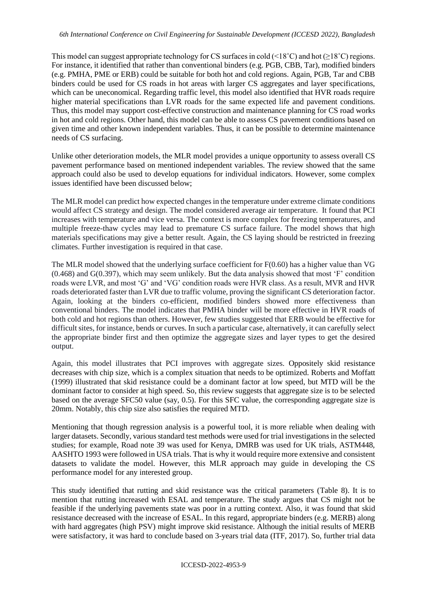This model can suggest appropriate technology for CS surfaces in cold ( $\leq 18^{\circ}$ C) and hot ( $\geq 18^{\circ}$ C) regions. For instance, it identified that rather than conventional binders (e.g. PGB, CBB, Tar), modified binders (e.g. PMHA, PME or ERB) could be suitable for both hot and cold regions. Again, PGB, Tar and CBB binders could be used for CS roads in hot areas with larger CS aggregates and layer specifications, which can be uneconomical. Regarding traffic level, this model also identified that HVR roads require higher material specifications than LVR roads for the same expected life and pavement conditions. Thus, this model may support cost-effective construction and maintenance planning for CS road works in hot and cold regions. Other hand, this model can be able to assess CS pavement conditions based on given time and other known independent variables. Thus, it can be possible to determine maintenance needs of CS surfacing.

Unlike other deterioration models, the MLR model provides a unique opportunity to assess overall CS pavement performance based on mentioned independent variables. The review showed that the same approach could also be used to develop equations for individual indicators. However, some complex issues identified have been discussed below;

The MLR model can predict how expected changes in the temperature under extreme climate conditions would affect CS strategy and design. The model considered average air temperature. It found that PCI increases with temperature and vice versa. The context is more complex for freezing temperatures, and multiple freeze-thaw cycles may lead to premature CS surface failure. The model shows that high materials specifications may give a better result. Again, the CS laying should be restricted in freezing climates. Further investigation is required in that case.

The MLR model showed that the underlying surface coefficient for F(0.60) has a higher value than VG (0.468) and G(0.397), which may seem unlikely. But the data analysis showed that most 'F' condition roads were LVR, and most 'G' and 'VG' condition roads were HVR class. As a result, MVR and HVR roads deteriorated faster than LVR due to traffic volume, proving the significant CS deterioration factor. Again, looking at the binders co-efficient, modified binders showed more effectiveness than conventional binders. The model indicates that PMHA binder will be more effective in HVR roads of both cold and hot regions than others. However, few studies suggested that ERB would be effective for difficult sites, for instance, bends or curves. In such a particular case, alternatively, it can carefully select the appropriate binder first and then optimize the aggregate sizes and layer types to get the desired output.

Again, this model illustrates that PCI improves with aggregate sizes. Oppositely skid resistance decreases with chip size, which is a complex situation that needs to be optimized. Roberts and Moffatt (1999) illustrated that skid resistance could be a dominant factor at low speed, but MTD will be the dominant factor to consider at high speed. So, this review suggests that aggregate size is to be selected based on the average SFC50 value (say, 0.5). For this SFC value, the corresponding aggregate size is 20mm. Notably, this chip size also satisfies the required MTD.

Mentioning that though regression analysis is a powerful tool, it is more reliable when dealing with larger datasets. Secondly, various standard test methods were used for trial investigations in the selected studies; for example, Road note 39 was used for Kenya, DMRB was used for UK trials, ASTM448, AASHTO 1993 were followed in USA trials. That is why it would require more extensive and consistent datasets to validate the model. However, this MLR approach may guide in developing the CS performance model for any interested group.

This study identified that rutting and skid resistance was the critical parameters [\(Table 8\)](#page-7-1). It is to mention that rutting increased with ESAL and temperature. The study argues that CS might not be feasible if the underlying pavements state was poor in a rutting context. Also, it was found that skid resistance decreased with the increase of ESAL. In this regard, appropriate binders (e.g. MERB) along with hard aggregates (high PSV) might improve skid resistance. Although the initial results of MERB were satisfactory, it was hard to conclude based on 3-years trial data (ITF, 2017). So, further trial data

#### ICCESD-2022-4953-9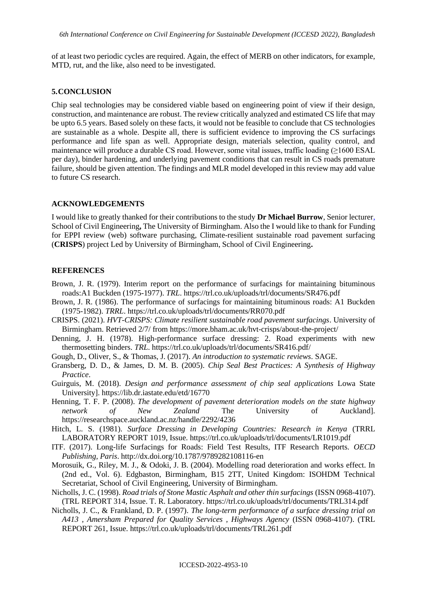of at least two periodic cycles are required. Again, the effect of MERB on other indicators, for example, MTD, rut, and the like, also need to be investigated.

#### **5.CONCLUSION**

Chip seal technologies may be considered viable based on engineering point of view if their design, construction, and maintenance are robust. The review critically analyzed and estimated CS life that may be upto 6.5 years. Based solely on these facts, it would not be feasible to conclude that CS technologies are sustainable as a whole. Despite all, there is sufficient evidence to improving the CS surfacings performance and life span as well. Appropriate design, materials selection, quality control, and maintenance will produce a durable CS road. However, some vital issues, traffic loading (≥1600 ESAL per day), binder hardening, and underlying pavement conditions that can result in CS roads premature failure, should be given attention. The findings and MLR model developed in this review may add value to future CS research.

#### **ACKNOWLEDGEMENTS**

I would like to greatly thanked for their contributions to the study **Dr Michael Burrow**, Senior lecturer, School of Civil Engineering**,** The University of Birmingham. Also the I would like to thank for Funding for EPPI review (web) software purchasing, Climate-resilient sustainable road pavement surfacing (**CRISPS**) project Led by University of Birmingham, School of Civil Engineering**.**

#### **REFERENCES**

- Brown, J. R. (1979). Interim report on the performance of surfacings for maintaining bituminous roads:A1 Buckden (1975-1977). *TRL*.<https://trl.co.uk/uploads/trl/documents/SR476.pdf>
- Brown, J. R. (1986). The performance of surfacings for maintaining bituminous roads: A1 Buckden (1975-1982). *TRRL*.<https://trl.co.uk/uploads/trl/documents/RR070.pdf>
- CRISPS. (2021). *HVT-CRISPS: Climate resilient sustainable road pavement surfacings*. University of Birmingham. Retrieved 2/7/ from<https://more.bham.ac.uk/hvt-crisps/about-the-project/>
- Denning, J. H. (1978). High-performance surface dressing: 2. Road experiments with new thermosetting binders. *TRL*.<https://trl.co.uk/uploads/trl/documents/SR416.pdf/>
- Gough, D., Oliver, S., & Thomas, J. (2017). *An introduction to systematic reviews*. SAGE.
- Gransberg, D. D., & James, D. M. B. (2005). *Chip Seal Best Practices: A Synthesis of Highway Practice*.
- Guirguis, M. (2018). *Design and performance assessment of chip seal applications* Lowa State University].<https://lib.dr.iastate.edu/etd/16770>
- Henning, T. F. P. (2008). *The development of pavement deterioration models on the state highway network of New Zealand* The University of Auckland]. <https://researchspace.auckland.ac.nz/handle/2292/4236>
- Hitch, L. S. (1981). *Surface Dressing in Developing Countries: Research in Kenya* (TRRL LABORATORY REPORT 1019, Issue.<https://trl.co.uk/uploads/trl/documents/LR1019.pdf>
- ITF. (2017). Long-life Surfacings for Roads: Field Test Results, ITF Research Reports. *OECD Publishing, Paris*.<http://dx.doi.org/10.1787/9789282108116-en>
- Morosuik, G., Riley, M. J., & Odoki, J. B. (2004). Modelling road deterioration and works effect. In (2nd ed., Vol. 6). Edgbaston, Birmingham, B15 2TT, United Kingdom: ISOHDM Technical Secretariat, School of Civil Engineering, University of Birmingham.
- Nicholls, J. C. (1998). *Road trials of Stone Mastic Asphalt and other thin surfacings* (ISSN 0968-4107). (TRL REPORT 314, Issue. T. R. Laboratory.<https://trl.co.uk/uploads/trl/documents/TRL314.pdf>
- Nicholls, J. C., & Frankland, D. P. (1997). *The long-term performance of a surface dressing trial on A413 , Amersham Prepared for Quality Services , Highways Agency* (ISSN 0968-4107). (TRL REPORT 261, Issue.<https://trl.co.uk/uploads/trl/documents/TRL261.pdf>